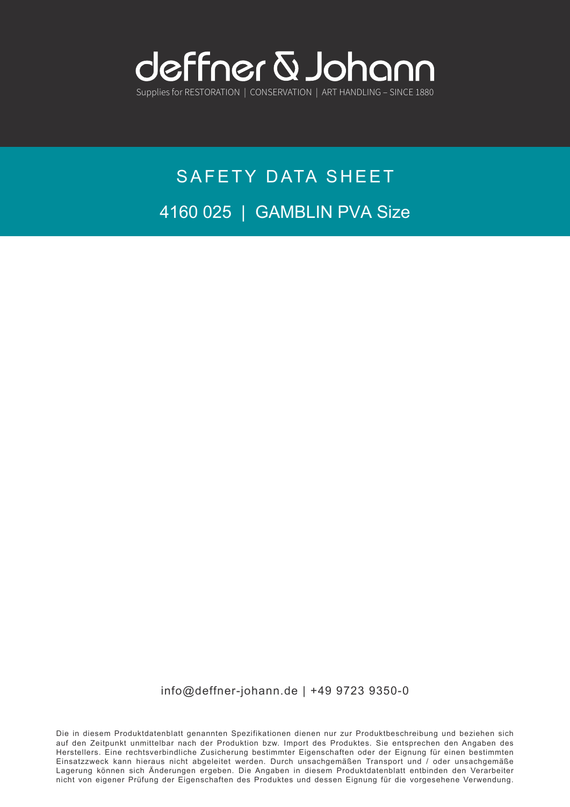

# SAFETY DATA SHEET 4160 025 | GAMBLIN PVA Size

info@deffner-johann.de | +49 9723 9350-0

Die in diesem Produktdatenblatt genannten Spezifikationen dienen nur zur Produktbeschreibung und beziehen sich auf den Zeitpunkt unmittelbar nach der Produktion bzw. Import des Produktes. Sie entsprechen den Angaben des Herstellers. Eine rechtsverbindliche Zusicherung bestimmter Eigenschaften oder der Eignung für einen bestimmten Einsatzzweck kann hieraus nicht abgeleitet werden. Durch unsachgemäßen Transport und / oder unsachgemäße Lagerung können sich Änderungen ergeben. Die Angaben in diesem Produktdatenblatt entbinden den Verarbeiter nicht von eigener Prüfung der Eigenschaften des Produktes und dessen Eignung für die vorgesehene Verwendung.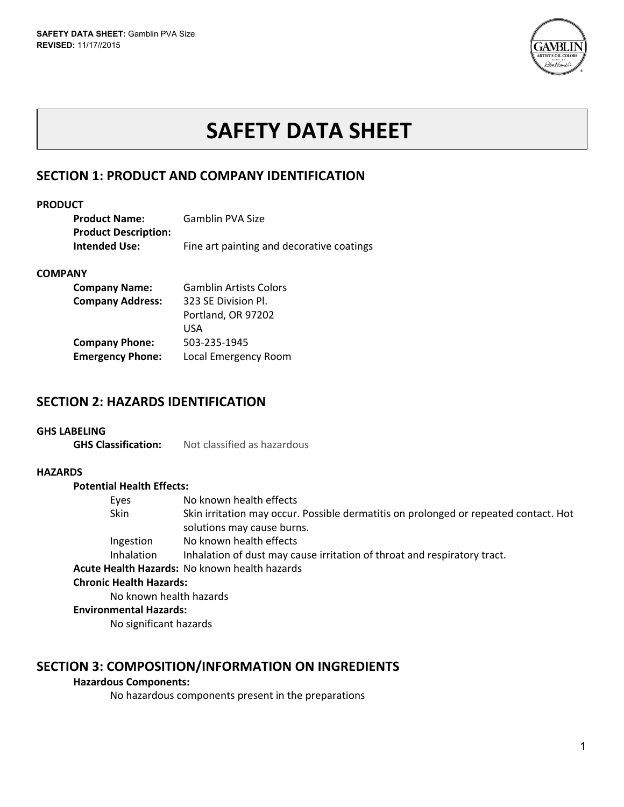

# **SAFETY DATA SHEET**

# **SECTION 1: PRODUCT AND COMPANY IDENTIFICATION**

### **PRODUCT**

| <b>Product Name:</b>        | Gamblin PVA Size                          |
|-----------------------------|-------------------------------------------|
| <b>Product Description:</b> |                                           |
| <b>Intended Use:</b>        | Fine art painting and decorative coatings |

### **COMPANY**

| <b>Company Name:</b>    | <b>Gamblin Artists Colors</b> |
|-------------------------|-------------------------------|
| <b>Company Address:</b> | 323 SE Division Pl.           |
|                         | Portland, OR 97202            |
|                         | USA                           |
| <b>Company Phone:</b>   | 503-235-1945                  |
| <b>Emergency Phone:</b> | Local Emergency Room          |

# **SECTION 2: HAZARDS IDENTIFICATION**

### **GHS LABELING**

**GHS Classification:** Not classified as hazardous

### **HAZARDS**

### **Potential Health Effects:**

| Eyes              | No known health effects                                                              |
|-------------------|--------------------------------------------------------------------------------------|
| Skin              | Skin irritation may occur. Possible dermatitis on prolonged or repeated contact. Hot |
|                   | solutions may cause burns.                                                           |
| Ingestion         | No known health effects                                                              |
| <b>Inhalation</b> | Inhalation of dust may cause irritation of throat and respiratory tract.             |
|                   | Acute Health Hazards: No known health hazards                                        |

### **Chronic Health Hazards:**

No known health hazards

### **Environmental Hazards:**

No significant hazards

# **SECTION 3: COMPOSITION/INFORMATION ON INGREDIENTS**

### **Hazardous Components:**

No hazardous components present in the preparations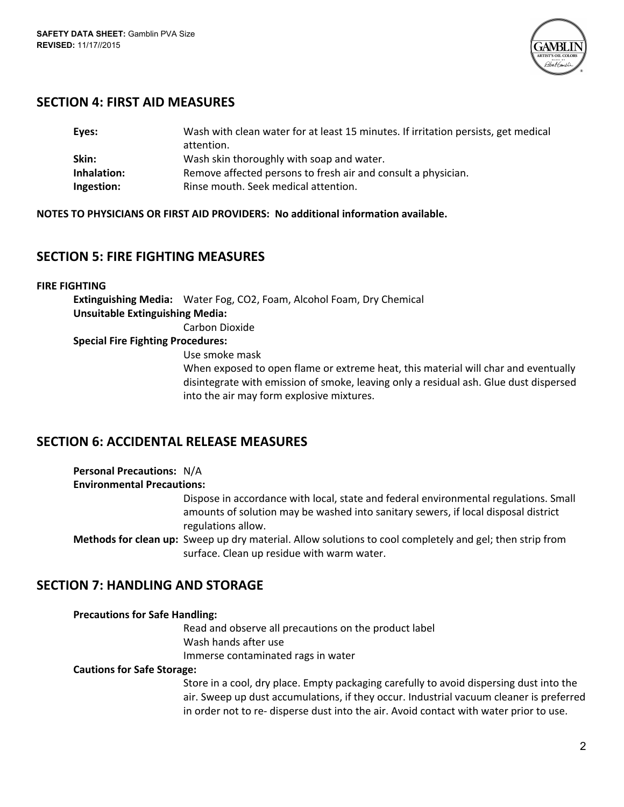

# **SECTION 4: FIRST AID MEASURES**

| Eyes:       | Wash with clean water for at least 15 minutes. If irritation persists, get medical |
|-------------|------------------------------------------------------------------------------------|
|             | attention.                                                                         |
| Skin:       | Wash skin thoroughly with soap and water.                                          |
| Inhalation: | Remove affected persons to fresh air and consult a physician.                      |
| Ingestion:  | Rinse mouth. Seek medical attention.                                               |

**NOTES TO PHYSICIANS OR FIRST AID PROVIDERS: No additional information available.**

# **SECTION 5: FIRE FIGHTING MEASURES**

### **FIRE FIGHTING**

**Extinguishing Media:** Water Fog, CO2, Foam, Alcohol Foam, Dry Chemical **Unsuitable Extinguishing Media:** Carbon Dioxide

### **Special Fire Fighting Procedures:**

Use smoke mask

When exposed to open flame or extreme heat, this material will char and eventually disintegrate with emission of smoke, leaving only a residual ash. Glue dust dispersed into the air may form explosive mixtures.

# **SECTION 6: ACCIDENTAL RELEASE MEASURES**

| <b>Personal Precautions: N/A</b>  |                                                                                                                                                                                                  |
|-----------------------------------|--------------------------------------------------------------------------------------------------------------------------------------------------------------------------------------------------|
| <b>Environmental Precautions:</b> |                                                                                                                                                                                                  |
|                                   | Dispose in accordance with local, state and federal environmental regulations. Small<br>amounts of solution may be washed into sanitary sewers, if local disposal district<br>regulations allow. |
|                                   | <b>Methods for clean up:</b> Sweep up dry material. Allow solutions to cool completely and gel; then strip from                                                                                  |
|                                   | surface. Clean up residue with warm water.                                                                                                                                                       |

# **SECTION 7: HANDLING AND STORAGE**

| <b>Precautions for Safe Handling:</b> |                                                                                         |
|---------------------------------------|-----------------------------------------------------------------------------------------|
|                                       | Read and observe all precautions on the product label                                   |
|                                       | Wash hands after use                                                                    |
|                                       | Immerse contaminated rags in water                                                      |
| <b>Cautions for Safe Storage:</b>     |                                                                                         |
|                                       | Store in a cool, dry place. Empty packaging carefully to avoid dispersing dust into the |
|                                       | air. Sweep up dust accumulations, if they occur. Industrial vacuum cleaner is preferre  |

cuum cleaner is preferred in order not to re‐ disperse dust into the air. Avoid contact with water prior to use.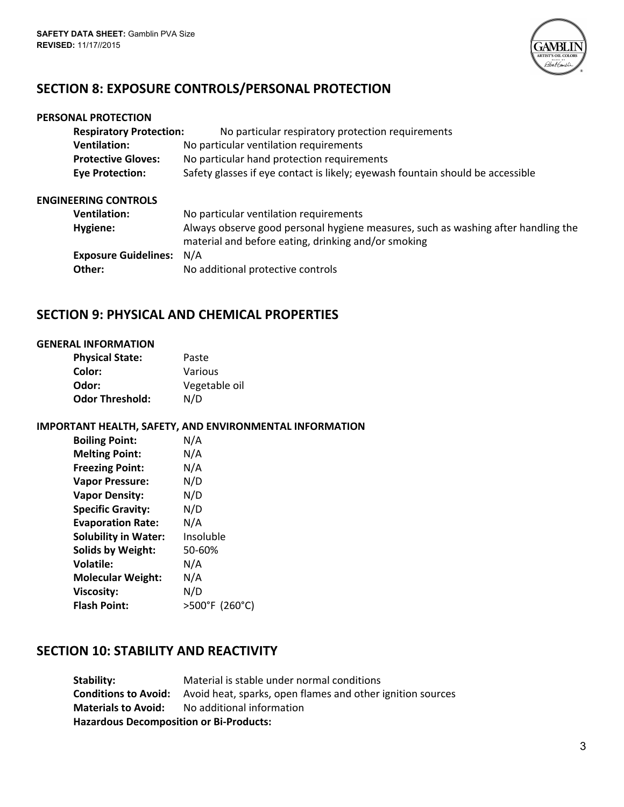

# **SECTION 8: EXPOSURE CONTROLS/PERSONAL PROTECTION**

|                        | PERSONAL PROTECTION            |                                                                                                                                          |
|------------------------|--------------------------------|------------------------------------------------------------------------------------------------------------------------------------------|
|                        | <b>Respiratory Protection:</b> | No particular respiratory protection requirements                                                                                        |
|                        | <b>Ventilation:</b>            | No particular ventilation requirements                                                                                                   |
|                        | <b>Protective Gloves:</b>      | No particular hand protection requirements                                                                                               |
| <b>Eye Protection:</b> |                                | Safety glasses if eye contact is likely; eyewash fountain should be accessible                                                           |
|                        | <b>ENGINEERING CONTROLS</b>    |                                                                                                                                          |
|                        | <b>Ventilation:</b>            | No particular ventilation requirements                                                                                                   |
| Hygiene:               |                                | Always observe good personal hygiene measures, such as washing after handling the<br>material and before eating, drinking and/or smoking |
|                        | <b>Exposure Guidelines:</b>    | N/A                                                                                                                                      |
|                        | Other:                         | No additional protective controls                                                                                                        |

# **SECTION 9: PHYSICAL AND CHEMICAL PROPERTIES**

### **GENERAL INFORMATION**

| <b>Physical State:</b> | Paste         |
|------------------------|---------------|
| Color:                 | Various       |
| Odor:                  | Vegetable oil |
| <b>Odor Threshold:</b> | N/D           |

### **IMPORTANT HEALTH, SAFETY, AND ENVIRONMENTAL INFORMATION**

| N/A            |
|----------------|
| N/A            |
| N/A            |
| N/D            |
| N/D            |
| N/D            |
| N/A            |
| Insoluble      |
| 50-60%         |
| N/A            |
| N/A            |
| N/D            |
| >500°F (260°C) |
|                |

# **SECTION 10: STABILITY AND REACTIVITY**

**Stability:** Material is stable under normal conditions **Conditions to Avoid:** Avoid heat, sparks, open flames and other ignition sources **Materials to Avoid:** No additional information **Hazardous Decomposition or Bi‐Products:**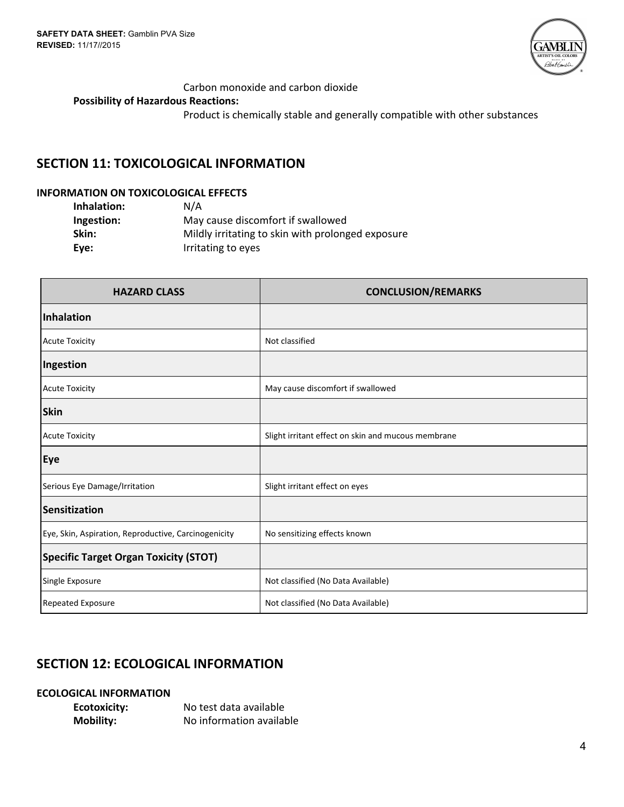

### Carbon monoxide and carbon dioxide

### **Possibility of Hazardous Reactions:**

Product is chemically stable and generally compatible with other substances

# **SECTION 11: TOXICOLOGICAL INFORMATION**

### **INFORMATION ON TOXICOLOGICAL EFFECTS**

| Inhalation: | N/A                                               |
|-------------|---------------------------------------------------|
| Ingestion:  | May cause discomfort if swallowed                 |
| Skin:       | Mildly irritating to skin with prolonged exposure |
| Eve:        | Irritating to eyes                                |

| <b>HAZARD CLASS</b>                                  | <b>CONCLUSION/REMARKS</b>                          |
|------------------------------------------------------|----------------------------------------------------|
| <b>Inhalation</b>                                    |                                                    |
| <b>Acute Toxicity</b>                                | Not classified                                     |
| Ingestion                                            |                                                    |
| <b>Acute Toxicity</b>                                | May cause discomfort if swallowed                  |
| <b>Skin</b>                                          |                                                    |
| <b>Acute Toxicity</b>                                | Slight irritant effect on skin and mucous membrane |
| Eye                                                  |                                                    |
| Serious Eye Damage/Irritation                        | Slight irritant effect on eyes                     |
| Sensitization                                        |                                                    |
| Eye, Skin, Aspiration, Reproductive, Carcinogenicity | No sensitizing effects known                       |
| <b>Specific Target Organ Toxicity (STOT)</b>         |                                                    |
| Single Exposure                                      | Not classified (No Data Available)                 |
| Repeated Exposure                                    | Not classified (No Data Available)                 |

# **SECTION 12: ECOLOGICAL INFORMATION**

### **ECOLOGICAL INFORMATION**

| <b>Ecotoxicity:</b> | No test data available   |
|---------------------|--------------------------|
| <b>Mobility:</b>    | No information available |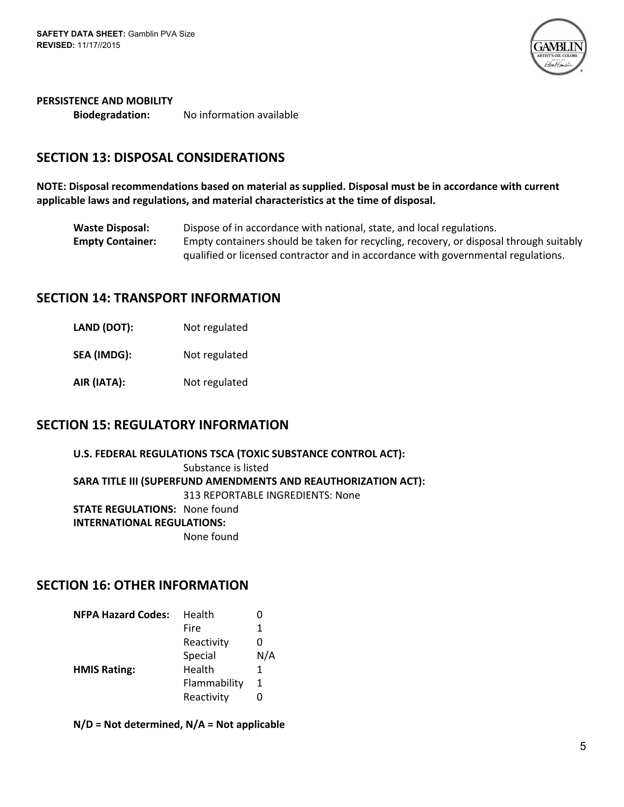

### **PERSISTENCE AND MOBILITY**

**Biodegradation:** No information available

# **SECTION 13: DISPOSAL CONSIDERATIONS**

**NOTE: Disposal recommendations based on material as supplied. Disposal must be in accordance with current applicable laws and regulations, and material characteristics at the time of disposal.**

**Waste Disposal:** Dispose of in accordance with national, state, and local regulations. **Empty Container:** Empty containers should be taken for recycling, recovery, or disposal through suitably qualified or licensed contractor and in accordance with governmental regulations.

# **SECTION 14: TRANSPORT INFORMATION**

- **LAND (DOT):** Not regulated
- **SEA (IMDG):** Not regulated
- **AIR (IATA):** Not regulated

## **SECTION 15: REGULATORY INFORMATION**

**U.S. FEDERAL REGULATIONS TSCA (TOXIC SUBSTANCE CONTROL ACT):** Substance is listed **SARA TITLE III (SUPERFUND AMENDMENTS AND REAUTHORIZATION ACT):** 313 REPORTABLE INGREDIENTS: None **STATE REGULATIONS:** None found **INTERNATIONAL REGULATIONS:** None found

## **SECTION 16: OTHER INFORMATION**

| Health       | 0   |
|--------------|-----|
| Fire         | 1   |
| Reactivity   | O   |
| Special      | N/A |
| Health       | 1   |
| Flammability | 1   |
| Reactivity   | O   |
|              |     |

**N/D = Not determined, N/A = Not applicable**